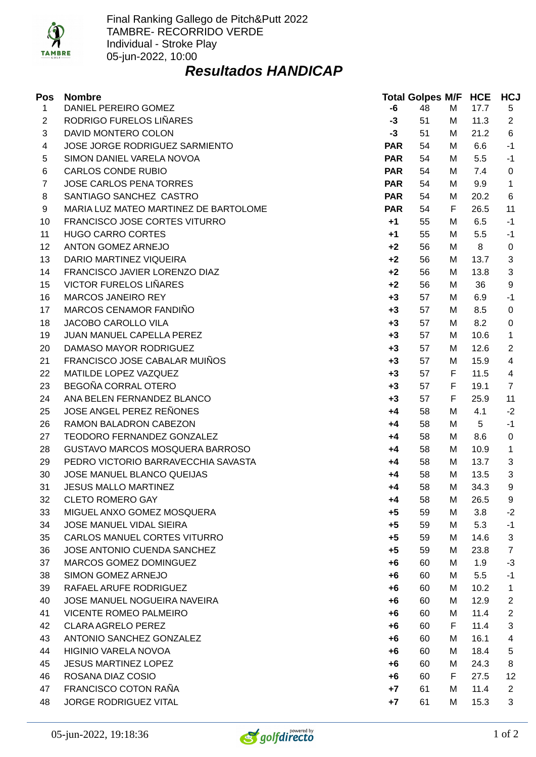

## *Resultados HANDICAP*

| Pos            | <b>Nombre</b>                         |            | <b>Total Golpes M/F HCE</b> |   |      | <b>HCJ</b>     |
|----------------|---------------------------------------|------------|-----------------------------|---|------|----------------|
| $\mathbf{1}$   | DANIEL PEREIRO GOMEZ                  | -6         | 48                          | М | 17.7 | 5              |
| $\overline{2}$ | RODRIGO FURELOS LIÑARES               | $-3$       | 51                          | М | 11.3 | $\overline{2}$ |
| 3              | DAVID MONTERO COLON                   | $-3$       | 51                          | М | 21.2 | 6              |
| 4              | JOSE JORGE RODRIGUEZ SARMIENTO        | <b>PAR</b> | 54                          | М | 6.6  | $-1$           |
| 5              | SIMON DANIEL VARELA NOVOA             | <b>PAR</b> | 54                          | М | 5.5  | $-1$           |
| 6              | <b>CARLOS CONDE RUBIO</b>             | <b>PAR</b> | 54                          | М | 7.4  | 0              |
| $\overline{7}$ | JOSE CARLOS PENA TORRES               | <b>PAR</b> | 54                          | М | 9.9  | $\mathbf{1}$   |
| 8              | SANTIAGO SANCHEZ CASTRO               | <b>PAR</b> | 54                          | М | 20.2 | 6              |
| 9              | MARIA LUZ MATEO MARTINEZ DE BARTOLOME | <b>PAR</b> | 54                          | F | 26.5 | 11             |
| 10             | FRANCISCO JOSE CORTES VITURRO         | $+1$       | 55                          | М | 6.5  | $-1$           |
| 11             | <b>HUGO CARRO CORTES</b>              | $+1$       | 55                          | М | 5.5  | $-1$           |
| 12             | ANTON GOMEZ ARNEJO                    | $+2$       | 56                          | М | 8    | 0              |
| 13             | DARIO MARTINEZ VIQUEIRA               | $+2$       | 56                          | М | 13.7 | 3              |
| 14             | FRANCISCO JAVIER LORENZO DIAZ         | $+2$       | 56                          | М | 13.8 | 3              |
| 15             | <b>VICTOR FURELOS LIÑARES</b>         | $+2$       | 56                          | М | 36   | 9              |
| 16             | <b>MARCOS JANEIRO REY</b>             | $+3$       | 57                          | М | 6.9  | $-1$           |
| 17             | MARCOS CENAMOR FANDIÑO                | $+3$       | 57                          | М | 8.5  | 0              |
| 18             | JACOBO CAROLLO VILA                   | $+3$       | 57                          | М | 8.2  | 0              |
| 19             | JUAN MANUEL CAPELLA PEREZ             | $+3$       | 57                          | М | 10.6 | $\mathbf{1}$   |
| 20             | DAMASO MAYOR RODRIGUEZ                | $+3$       | 57                          | М | 12.6 | 2              |
| 21             | FRANCISCO JOSE CABALAR MUIÑOS         | $+3$       | 57                          | м | 15.9 | 4              |
| 22             | MATILDE LOPEZ VAZQUEZ                 | $+3$       | 57                          | F | 11.5 | $\overline{4}$ |
| 23             | BEGOÑA CORRAL OTERO                   | $+3$       | 57                          | F | 19.1 | $\overline{7}$ |
| 24             | ANA BELEN FERNANDEZ BLANCO            | $+3$       | 57                          | F | 25.9 | 11             |
| 25             | JOSE ANGEL PEREZ REÑONES              | +4         | 58                          | М | 4.1  | $-2$           |
| 26             | RAMON BALADRON CABEZON                | +4         | 58                          | М | 5    | $-1$           |
| 27             | TEODORO FERNANDEZ GONZALEZ            | +4         | 58                          | М | 8.6  | 0              |
| 28             | GUSTAVO MARCOS MOSQUERA BARROSO       | +4         | 58                          | M | 10.9 | $\mathbf{1}$   |
| 29             | PEDRO VICTORIO BARRAVECCHIA SAVASTA   | +4         | 58                          | М | 13.7 | 3              |
| 30             | JOSE MANUEL BLANCO QUEIJAS            | $+4$       | 58                          | М | 13.5 | 3              |
| 31             | <b>JESUS MALLO MARTINEZ</b>           | +4         | 58                          | M | 34.3 | 9              |
| 32             | <b>CLETO ROMERO GAY</b>               | +4         | 58                          | M | 26.5 | 9              |
| 33             | MIGUEL ANXO GOMEZ MOSQUERA            | $+5$       | 59                          | M | 3.8  | $-2$           |
| 34             | JOSE MANUEL VIDAL SIEIRA              | $+5$       | 59                          | М | 5.3  | $-1$           |
| 35             | CARLOS MANUEL CORTES VITURRO          | $+5$       | 59                          | М | 14.6 | 3              |
| 36             | JOSE ANTONIO CUENDA SANCHEZ           | $+5$       | 59                          | М | 23.8 | 7              |
| 37             | MARCOS GOMEZ DOMINGUEZ                | $+6$       | 60                          | М | 1.9  | $-3$           |
| 38             | SIMON GOMEZ ARNEJO                    | +6         | 60                          | М | 5.5  | $-1$           |
| 39             | RAFAEL ARUFE RODRIGUEZ                | +6         | 60                          | М | 10.2 | $\mathbf{1}$   |
| 40             | <b>JOSE MANUEL NOGUEIRA NAVEIRA</b>   | +6         | 60                          | М | 12.9 | $\overline{c}$ |
| 41             | <b>VICENTE ROMEO PALMEIRO</b>         | $+6$       | 60                          | М | 11.4 | $\overline{2}$ |
| 42             | <b>CLARA AGRELO PEREZ</b>             | $+6$       | 60                          | F | 11.4 | 3              |
| 43             | ANTONIO SANCHEZ GONZALEZ              | $+6$       | 60                          | М | 16.1 | 4              |
| 44             | HIGINIO VARELA NOVOA                  | +6         | 60                          | М | 18.4 | 5              |
| 45             | <b>JESUS MARTINEZ LOPEZ</b>           | +6         | 60                          | М | 24.3 | 8              |
| 46             | ROSANA DIAZ COSIO                     | $+6$       | 60                          | F | 27.5 | 12             |
| 47             | FRANCISCO COTON RAÑA                  | $+7$       | 61                          | M | 11.4 | $\overline{2}$ |
| 48             | JORGE RODRIGUEZ VITAL                 | $+7$       | 61                          | М | 15.3 | 3              |

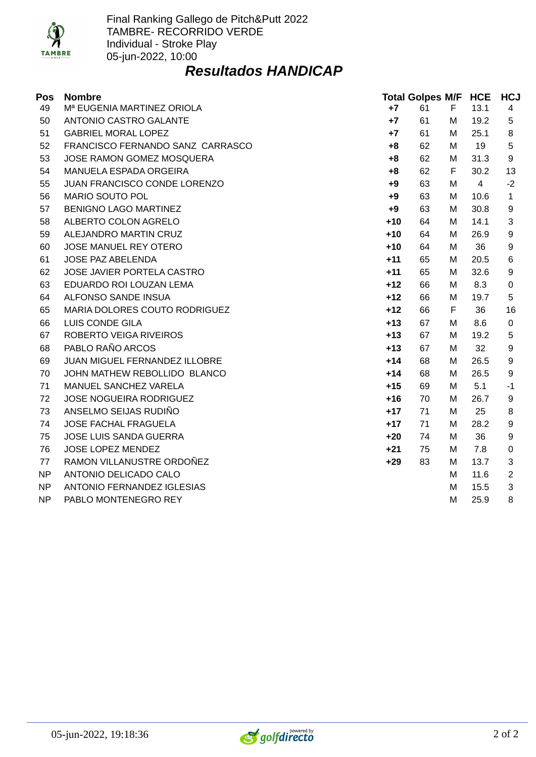

## *Resultados HANDICAP*

| Pos | <b>Nombre</b>                          |       | <b>Total Golpes M/F HCE</b> |   |                | <b>HCJ</b>     |
|-----|----------------------------------------|-------|-----------------------------|---|----------------|----------------|
| 49  | M <sup>a</sup> EUGENIA MARTINEZ ORIOLA | $+7$  | 61                          | F | 13.1           | 4              |
| 50  | ANTONIO CASTRO GALANTE                 | $+7$  | 61                          | м | 19.2           | 5              |
| 51  | <b>GABRIEL MORAL LOPEZ</b>             | $+7$  | 61                          | М | 25.1           | 8              |
| 52  | FRANCISCO FERNANDO SANZ CARRASCO       | $+8$  | 62                          | M | 19             | 5              |
| 53  | JOSE RAMON GOMEZ MOSQUERA              | $+8$  | 62                          | M | 31.3           | 9              |
| 54  | MANUELA ESPADA ORGEIRA                 | $+8$  | 62                          | F | 30.2           | 13             |
| 55  | JUAN FRANCISCO CONDE LORENZO           | $+9$  | 63                          | M | $\overline{4}$ | $-2$           |
| 56  | MARIO SOUTO POL                        | $+9$  | 63                          | М | 10.6           | $\mathbf{1}$   |
| 57  | <b>BENIGNO LAGO MARTINEZ</b>           | $+9$  | 63                          | М | 30.8           | 9              |
| 58  | ALBERTO COLON AGRELO                   | $+10$ | 64                          | М | 14.1           | 3              |
| 59  | ALEJANDRO MARTIN CRUZ                  | $+10$ | 64                          | м | 26.9           | 9              |
| 60  | JOSE MANUEL REY OTERO                  | $+10$ | 64                          | м | 36             | 9              |
| 61  | JOSE PAZ ABELENDA                      | $+11$ | 65                          | м | 20.5           | 6              |
| 62  | JOSE JAVIER PORTELA CASTRO             | $+11$ | 65                          | м | 32.6           | 9              |
| 63  | EDUARDO ROI LOUZAN LEMA                | $+12$ | 66                          | М | 8.3            | 0              |
| 64  | ALFONSO SANDE INSUA                    | $+12$ | 66                          | м | 19.7           | 5              |
| 65  | MARIA DOLORES COUTO RODRIGUEZ          | $+12$ | 66                          | F | 36             | 16             |
| 66  | LUIS CONDE GILA                        | $+13$ | 67                          | м | 8.6            | $\mathbf 0$    |
| 67  | ROBERTO VEIGA RIVEIROS                 | $+13$ | 67                          | M | 19.2           | 5              |
| 68  | PABLO RAÑO ARCOS                       | $+13$ | 67                          | M | 32             | 9              |
| 69  | JUAN MIGUEL FERNANDEZ ILLOBRE          | $+14$ | 68                          | M | 26.5           | 9              |
| 70  | JOHN MATHEW REBOLLIDO BLANCO           | $+14$ | 68                          | M | 26.5           | 9              |
| 71  | MANUEL SANCHEZ VARELA                  | $+15$ | 69                          | M | 5.1            | $-1$           |
| 72  | JOSE NOGUEIRA RODRIGUEZ                | $+16$ | 70                          | М | 26.7           | 9              |
| 73  | ANSELMO SEIJAS RUDIÑO                  | $+17$ | 71                          | M | 25             | 8              |
| 74  | JOSE FACHAL FRAGUELA                   | $+17$ | 71                          | M | 28.2           | 9              |
| 75  | JOSE LUIS SANDA GUERRA                 | $+20$ | 74                          | M | 36             | 9              |
| 76  | JOSE LOPEZ MENDEZ                      | $+21$ | 75                          | м | 7.8            | $\Omega$       |
| 77  | RAMON VILLANUSTRE ORDOÑEZ              | $+29$ | 83                          | М | 13.7           | 3              |
| NP  | ANTONIO DELICADO CALO                  |       |                             | м | 11.6           | $\overline{2}$ |
| NP  | ANTONIO FERNANDEZ IGLESIAS             |       |                             | м | 15.5           | 3              |
| NP  | PABLO MONTENEGRO REY                   |       |                             | M | 25.9           | 8              |

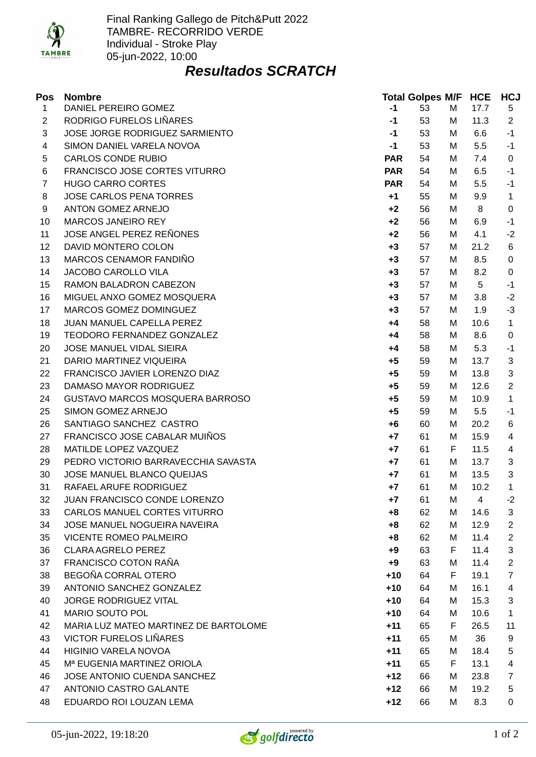

## *Resultados SCRATCH*

| Pos            | <b>Nombre</b>                          |            | <b>Total Golpes M/F HCE</b> |   |      | <b>HCJ</b>     |
|----------------|----------------------------------------|------------|-----------------------------|---|------|----------------|
| $\mathbf{1}$   | DANIEL PEREIRO GOMEZ                   | $-1$       | 53                          | М | 17.7 | 5              |
| $\overline{2}$ | RODRIGO FURELOS LIÑARES                | $-1$       | 53                          | М | 11.3 | $\overline{2}$ |
| 3              | JOSE JORGE RODRIGUEZ SARMIENTO         | $-1$       | 53                          | М | 6.6  | $-1$           |
| 4              | SIMON DANIEL VARELA NOVOA              | $-1$       | 53                          | М | 5.5  | $-1$           |
| 5              | <b>CARLOS CONDE RUBIO</b>              | <b>PAR</b> | 54                          | М | 7.4  | 0              |
| 6              | FRANCISCO JOSE CORTES VITURRO          | <b>PAR</b> | 54                          | М | 6.5  | $-1$           |
| 7              | <b>HUGO CARRO CORTES</b>               | <b>PAR</b> | 54                          | М | 5.5  | $-1$           |
| 8              | <b>JOSE CARLOS PENA TORRES</b>         | $+1$       | 55                          | М | 9.9  | $\mathbf{1}$   |
| 9              | ANTON GOMEZ ARNEJO                     | $+2$       | 56                          | М | 8    | 0              |
| 10             | <b>MARCOS JANEIRO REY</b>              | $+2$       | 56                          | М | 6.9  | $-1$           |
| 11             | JOSE ANGEL PEREZ REÑONES               | $+2$       | 56                          | М | 4.1  | $-2$           |
| 12             | DAVID MONTERO COLON                    | $+3$       | 57                          | М | 21.2 | 6              |
| 13             | MARCOS CENAMOR FANDIÑO                 | $+3$       | 57                          | М | 8.5  | 0              |
| 14             | JACOBO CAROLLO VILA                    | $+3$       | 57                          | М | 8.2  | 0              |
| 15             | RAMON BALADRON CABEZON                 | $+3$       | 57                          | М | 5    | $-1$           |
| 16             | MIGUEL ANXO GOMEZ MOSQUERA             | $+3$       | 57                          | М | 3.8  | $-2$           |
| 17             | MARCOS GOMEZ DOMINGUEZ                 | $+3$       | 57                          | М | 1.9  | $-3$           |
| 18             | JUAN MANUEL CAPELLA PEREZ              | $+4$       | 58                          | М | 10.6 | $\mathbf{1}$   |
| 19             | TEODORO FERNANDEZ GONZALEZ             | +4         | 58                          | М | 8.6  | 0              |
| 20             | JOSE MANUEL VIDAL SIEIRA               | +4         | 58                          | М | 5.3  | $-1$           |
| 21             | DARIO MARTINEZ VIQUEIRA                | $+5$       | 59                          | М | 13.7 | 3              |
| 22             | FRANCISCO JAVIER LORENZO DIAZ          | $+5$       | 59                          | M | 13.8 | 3              |
| 23             | DAMASO MAYOR RODRIGUEZ                 | $+5$       | 59                          | М | 12.6 | $\overline{2}$ |
| 24             | GUSTAVO MARCOS MOSQUERA BARROSO        | $+5$       | 59                          | М | 10.9 | $\mathbf{1}$   |
| 25             | SIMON GOMEZ ARNEJO                     | $+5$       | 59                          | М | 5.5  | $-1$           |
| 26             | SANTIAGO SANCHEZ CASTRO                | $+6$       | 60                          | М | 20.2 | 6              |
| 27             | FRANCISCO JOSE CABALAR MUIÑOS          | $+7$       | 61                          | М | 15.9 | 4              |
| 28             | MATILDE LOPEZ VAZQUEZ                  | $+7$       | 61                          | F | 11.5 | 4              |
| 29             | PEDRO VICTORIO BARRAVECCHIA SAVASTA    | $+7$       | 61                          | M | 13.7 | 3              |
| 30             | JOSE MANUEL BLANCO QUEIJAS             | $+7$       | 61                          | М | 13.5 | 3              |
| 31             | RAFAEL ARUFE RODRIGUEZ                 | $+7$       | 61                          | M | 10.2 | $\mathbf{1}$   |
| 32             | JUAN FRANCISCO CONDE LORENZO           | $+7$       | 61                          | М | 4    | $-2$           |
| 33             | CARLOS MANUEL CORTES VITURRO           | $+8$       | 62                          | М | 14.6 | 3              |
| 34             | JOSE MANUEL NOGUEIRA NAVEIRA           | $+8$       | 62                          | М | 12.9 | $\overline{2}$ |
| 35             | <b>VICENTE ROMEO PALMEIRO</b>          | $+8$       | 62                          | М | 11.4 | $\overline{2}$ |
| 36             | <b>CLARA AGRELO PEREZ</b>              | +9         | 63                          | F | 11.4 | 3              |
| 37             | FRANCISCO COTON RAÑA                   | $+9$       | 63                          | М | 11.4 | $\overline{c}$ |
| 38             | BEGOÑA CORRAL OTERO                    | $+10$      | 64                          | F | 19.1 | $\overline{7}$ |
| 39             | ANTONIO SANCHEZ GONZALEZ               | $+10$      | 64                          | М | 16.1 | 4              |
| 40             | <b>JORGE RODRIGUEZ VITAL</b>           | $+10$      | 64                          | М | 15.3 | 3              |
| 41             | <b>MARIO SOUTO POL</b>                 | $+10$      | 64                          | М | 10.6 | $\mathbf{1}$   |
| 42             | MARIA LUZ MATEO MARTINEZ DE BARTOLOME  | $+11$      | 65                          | F | 26.5 | 11             |
| 43             | <b>VICTOR FURELOS LIÑARES</b>          | $+11$      | 65                          | М | 36   | 9              |
| 44             | <b>HIGINIO VARELA NOVOA</b>            | $+11$      | 65                          | М | 18.4 | 5              |
| 45             | M <sup>a</sup> EUGENIA MARTINEZ ORIOLA | $+11$      | 65                          | F | 13.1 | 4              |
| 46             | JOSE ANTONIO CUENDA SANCHEZ            | $+12$      | 66                          | М | 23.8 | $\overline{7}$ |
| 47             | ANTONIO CASTRO GALANTE                 | $+12$      | 66                          | М | 19.2 | 5              |
| 48             | EDUARDO ROI LOUZAN LEMA                | $+12$      | 66                          | М | 8.3  | 0              |